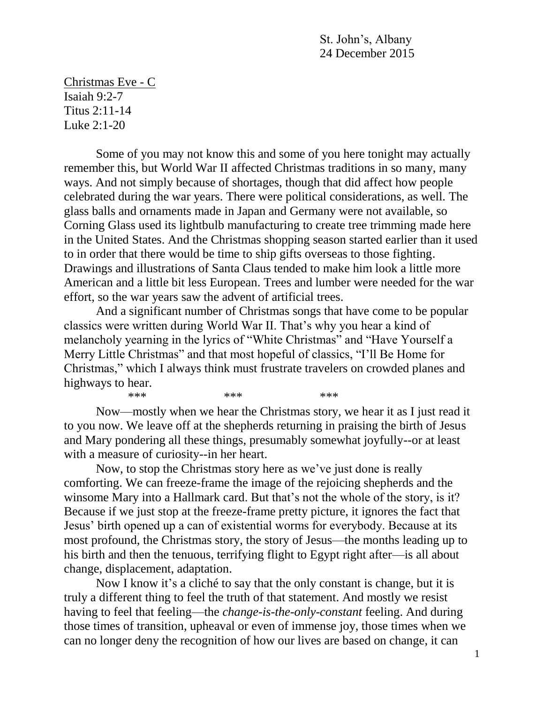St. John's, Albany 24 December 2015

Christmas Eve - C Isaiah 9:2-7 Titus 2:11-14 Luke 2:1-20

Some of you may not know this and some of you here tonight may actually remember this, but World War II affected Christmas traditions in so many, many ways. And not simply because of shortages, though that did affect how people celebrated during the war years. There were political considerations, as well. The glass balls and ornaments made in Japan and Germany were not available, so Corning Glass used its lightbulb manufacturing to create tree trimming made here in the United States. And the Christmas shopping season started earlier than it used to in order that there would be time to ship gifts overseas to those fighting. Drawings and illustrations of Santa Claus tended to make him look a little more American and a little bit less European. Trees and lumber were needed for the war effort, so the war years saw the advent of artificial trees.

And a significant number of Christmas songs that have come to be popular classics were written during World War II. That's why you hear a kind of melancholy yearning in the lyrics of "White Christmas" and "Have Yourself a Merry Little Christmas" and that most hopeful of classics, "I'll Be Home for Christmas," which I always think must frustrate travelers on crowded planes and highways to hear. \*\*\* \*\*\* \*\*\* \*\*\*

Now—mostly when we hear the Christmas story, we hear it as I just read it to you now. We leave off at the shepherds returning in praising the birth of Jesus and Mary pondering all these things, presumably somewhat joyfully--or at least with a measure of curiosity--in her heart.

Now, to stop the Christmas story here as we've just done is really comforting. We can freeze-frame the image of the rejoicing shepherds and the winsome Mary into a Hallmark card. But that's not the whole of the story, is it? Because if we just stop at the freeze-frame pretty picture, it ignores the fact that Jesus' birth opened up a can of existential worms for everybody. Because at its most profound, the Christmas story, the story of Jesus—the months leading up to his birth and then the tenuous, terrifying flight to Egypt right after—is all about change, displacement, adaptation.

Now I know it's a cliché to say that the only constant is change, but it is truly a different thing to feel the truth of that statement. And mostly we resist having to feel that feeling—the *change-is-the-only-constant* feeling. And during those times of transition, upheaval or even of immense joy, those times when we can no longer deny the recognition of how our lives are based on change, it can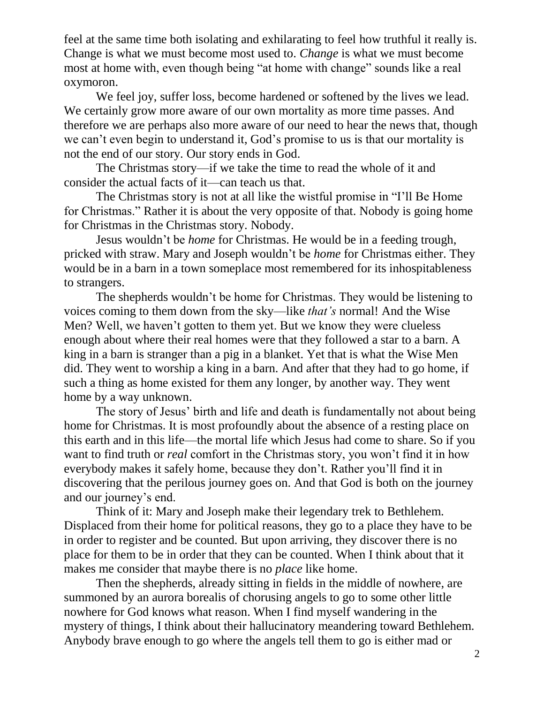feel at the same time both isolating and exhilarating to feel how truthful it really is. Change is what we must become most used to. *Change* is what we must become most at home with, even though being "at home with change" sounds like a real oxymoron.

We feel joy, suffer loss, become hardened or softened by the lives we lead. We certainly grow more aware of our own mortality as more time passes. And therefore we are perhaps also more aware of our need to hear the news that, though we can't even begin to understand it, God's promise to us is that our mortality is not the end of our story. Our story ends in God.

The Christmas story—if we take the time to read the whole of it and consider the actual facts of it—can teach us that.

The Christmas story is not at all like the wistful promise in "I'll Be Home for Christmas." Rather it is about the very opposite of that. Nobody is going home for Christmas in the Christmas story. Nobody.

Jesus wouldn't be *home* for Christmas. He would be in a feeding trough, pricked with straw. Mary and Joseph wouldn't be *home* for Christmas either. They would be in a barn in a town someplace most remembered for its inhospitableness to strangers.

The shepherds wouldn't be home for Christmas. They would be listening to voices coming to them down from the sky—like *that's* normal! And the Wise Men? Well, we haven't gotten to them yet. But we know they were clueless enough about where their real homes were that they followed a star to a barn. A king in a barn is stranger than a pig in a blanket. Yet that is what the Wise Men did. They went to worship a king in a barn. And after that they had to go home, if such a thing as home existed for them any longer, by another way. They went home by a way unknown.

The story of Jesus' birth and life and death is fundamentally not about being home for Christmas. It is most profoundly about the absence of a resting place on this earth and in this life—the mortal life which Jesus had come to share. So if you want to find truth or *real* comfort in the Christmas story, you won't find it in how everybody makes it safely home, because they don't. Rather you'll find it in discovering that the perilous journey goes on. And that God is both on the journey and our journey's end.

Think of it: Mary and Joseph make their legendary trek to Bethlehem. Displaced from their home for political reasons, they go to a place they have to be in order to register and be counted. But upon arriving, they discover there is no place for them to be in order that they can be counted. When I think about that it makes me consider that maybe there is no *place* like home.

Then the shepherds, already sitting in fields in the middle of nowhere, are summoned by an aurora borealis of chorusing angels to go to some other little nowhere for God knows what reason. When I find myself wandering in the mystery of things, I think about their hallucinatory meandering toward Bethlehem. Anybody brave enough to go where the angels tell them to go is either mad or